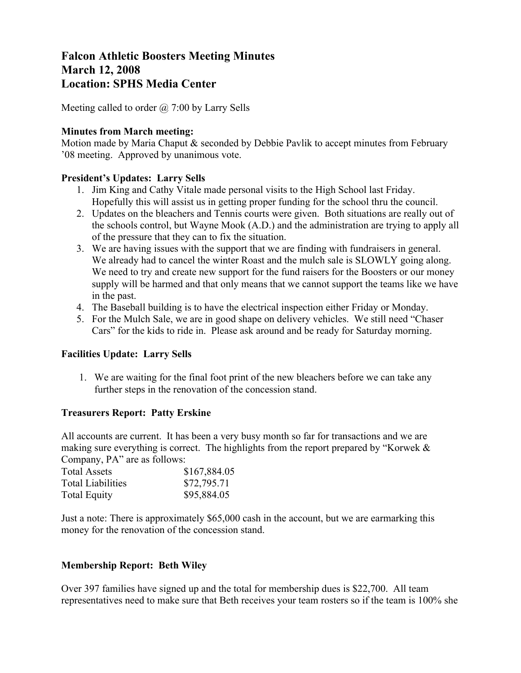# **Falcon Athletic Boosters Meeting Minutes March 12, 2008 Location: SPHS Media Center**

Meeting called to order  $\omega$  7:00 by Larry Sells

## **Minutes from March meeting:**

Motion made by Maria Chaput & seconded by Debbie Pavlik to accept minutes from February '08 meeting. Approved by unanimous vote.

### **President's Updates: Larry Sells**

- 1. Jim King and Cathy Vitale made personal visits to the High School last Friday. Hopefully this will assist us in getting proper funding for the school thru the council.
- 2. Updates on the bleachers and Tennis courts were given. Both situations are really out of the schools control, but Wayne Mook (A.D.) and the administration are trying to apply all of the pressure that they can to fix the situation.
- 3. We are having issues with the support that we are finding with fundraisers in general. We already had to cancel the winter Roast and the mulch sale is SLOWLY going along. We need to try and create new support for the fund raisers for the Boosters or our money supply will be harmed and that only means that we cannot support the teams like we have in the past.
- 4. The Baseball building is to have the electrical inspection either Friday or Monday.
- 5. For the Mulch Sale, we are in good shape on delivery vehicles. We still need "Chaser Cars" for the kids to ride in. Please ask around and be ready for Saturday morning.

# **Facilities Update: Larry Sells**

1. We are waiting for the final foot print of the new bleachers before we can take any further steps in the renovation of the concession stand.

#### **Treasurers Report: Patty Erskine**

All accounts are current. It has been a very busy month so far for transactions and we are making sure everything is correct. The highlights from the report prepared by "Korwek & Company, PA" are as follows:

| <b>Total Assets</b>      | \$167,884.05 |
|--------------------------|--------------|
| <b>Total Liabilities</b> | \$72,795.71  |
| <b>Total Equity</b>      | \$95,884.05  |

Just a note: There is approximately \$65,000 cash in the account, but we are earmarking this money for the renovation of the concession stand.

# **Membership Report: Beth Wiley**

Over 397 families have signed up and the total for membership dues is \$22,700. All team representatives need to make sure that Beth receives your team rosters so if the team is 100% she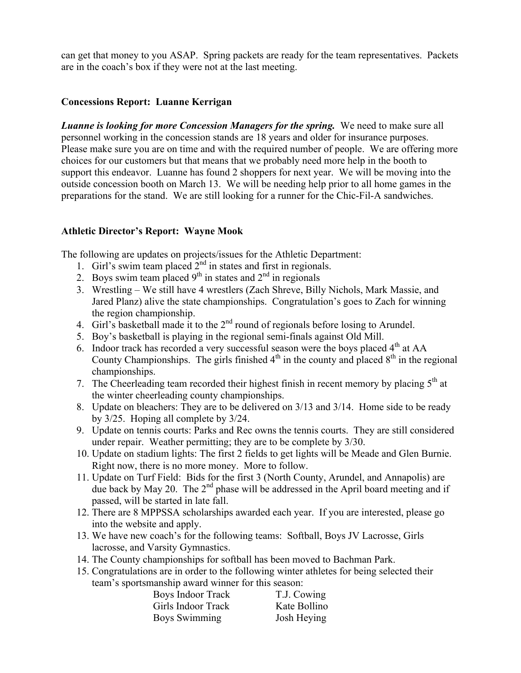can get that money to you ASAP. Spring packets are ready for the team representatives. Packets are in the coach's box if they were not at the last meeting.

## **Concessions Report: Luanne Kerrigan**

*Luanne is looking for more Concession Managers for the spring.* We need to make sure all personnel working in the concession stands are 18 years and older for insurance purposes. Please make sure you are on time and with the required number of people. We are offering more choices for our customers but that means that we probably need more help in the booth to support this endeavor. Luanne has found 2 shoppers for next year. We will be moving into the outside concession booth on March 13. We will be needing help prior to all home games in the preparations for the stand. We are still looking for a runner for the Chic-Fil-A sandwiches.

### **Athletic Director's Report: Wayne Mook**

The following are updates on projects/issues for the Athletic Department:

- 1. Girl's swim team placed  $2<sup>nd</sup>$  in states and first in regionals.
- 2. Boys swim team placed  $9<sup>th</sup>$  in states and  $2<sup>nd</sup>$  in regionals
- 3. Wrestling We still have 4 wrestlers (Zach Shreve, Billy Nichols, Mark Massie, and Jared Planz) alive the state championships. Congratulation's goes to Zach for winning the region championship.
- 4. Girl's basketball made it to the 2<sup>nd</sup> round of regionals before losing to Arundel.
- 5. Boy's basketball is playing in the regional semi-finals against Old Mill.
- 6. Indoor track has recorded a very successful season were the boys placed  $4<sup>th</sup>$  at AA County Championships. The girls finished  $4<sup>th</sup>$  in the county and placed  $8<sup>th</sup>$  in the regional championships.
- 7. The Cheerleading team recorded their highest finish in recent memory by placing  $5<sup>th</sup>$  at the winter cheerleading county championships.
- 8. Update on bleachers: They are to be delivered on 3/13 and 3/14. Home side to be ready by 3/25. Hoping all complete by 3/24.
- 9. Update on tennis courts: Parks and Rec owns the tennis courts. They are still considered under repair. Weather permitting; they are to be complete by 3/30.
- 10. Update on stadium lights: The first 2 fields to get lights will be Meade and Glen Burnie. Right now, there is no more money. More to follow.
- 11. Update on Turf Field: Bids for the first 3 (North County, Arundel, and Annapolis) are due back by May 20. The 2<sup>nd</sup> phase will be addressed in the April board meeting and if passed, will be started in late fall.
- 12. There are 8 MPPSSA scholarships awarded each year. If you are interested, please go into the website and apply.
- 13. We have new coach's for the following teams: Softball, Boys JV Lacrosse, Girls lacrosse, and Varsity Gymnastics.
- 14. The County championships for softball has been moved to Bachman Park.
- 15. Congratulations are in order to the following winter athletes for being selected their team's sportsmanship award winner for this season:

| Boys Indoor Track  | T.J. Cowing  |
|--------------------|--------------|
| Girls Indoor Track | Kate Bollino |
| Boys Swimming      | Josh Heying  |